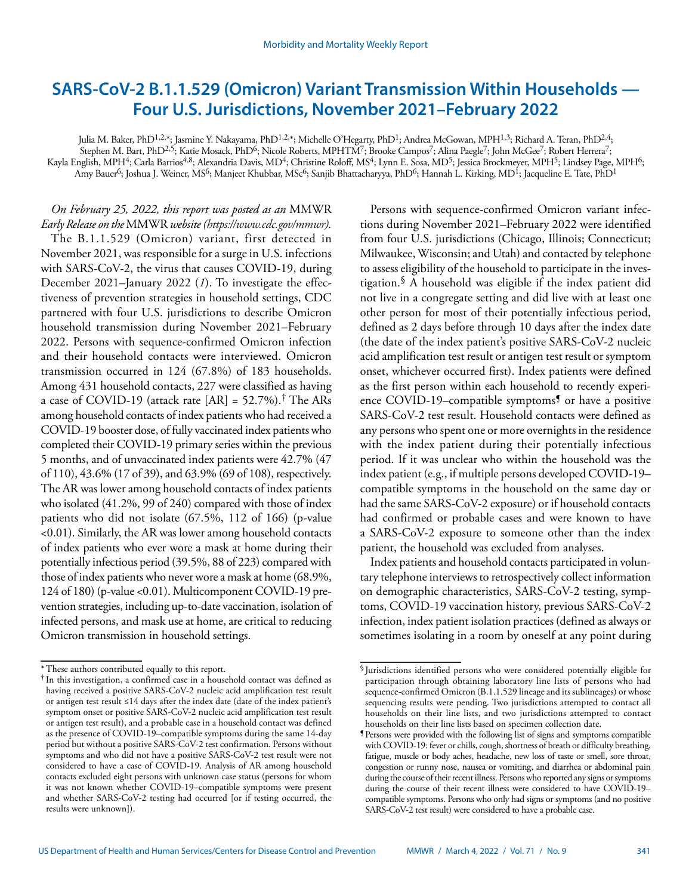# **SARS-CoV-2 B.1.1.529 (Omicron) Variant Transmission Within Households — Four U.S. Jurisdictions, November 2021–February 2022**

Julia M. Baker, PhD<sup>1,2,\*</sup>; Jasmine Y. Nakayama, PhD<sup>1,2,\*</sup>; Michelle O'Hegarty, PhD<sup>1</sup>; Andrea McGowan, MPH<sup>1,3</sup>; Richard A. Teran, PhD<sup>2,4</sup>; Stephen M. Bart, PhD<sup>2,5</sup>; Katie Mosack, PhD<sup>6</sup>; Nicole Roberts, MPHTM<sup>7</sup>; Brooke Campos<sup>7</sup>; Alina Paegle<sup>7</sup>; John McGee<sup>7</sup>; Robert Herrera<sup>7</sup>; Kayla English, MPH<sup>4</sup>; Carla Barrios<sup>4,8</sup>; Alexandria Davis, MD<sup>4</sup>; Christine Roloff, MS<sup>4</sup>; Lynn E. Sosa, MD<sup>5</sup>; Jessica Brockmeyer, MPH<sup>5</sup>; Lindsey Page, MPH<sup>6</sup>; Amy Bauer<sup>6</sup>; Joshua J. Weiner, MS<sup>6</sup>; Manjeet Khubbar, MSc<sup>6</sup>; Sanjib Bhattacharyya, PhD<sup>6</sup>; Hannah L. Kirking, MD<sup>1</sup>; Jacqueline E. Tate, PhD<sup>1</sup>

# *On February 25, 2022, this report was posted as an* MMWR *Early Release on the* MMWR *website [\(https://www.cdc.gov/mmwr](https://www.cdc.gov/mmwr)).*

The B.1.1.529 (Omicron) variant, first detected in November 2021, was responsible for a surge in U.S. infections with SARS-CoV-2, the virus that causes COVID-19, during December 2021–January 2022 (*1*). To investigate the effectiveness of prevention strategies in household settings, CDC partnered with four U.S. jurisdictions to describe Omicron household transmission during November 2021–February 2022. Persons with sequence-confirmed Omicron infection and their household contacts were interviewed. Omicron transmission occurred in 124 (67.8%) of 183 households. Among 431 household contacts, 227 were classified as having a case of COVID-19 (attack rate  $[AR] = 52.7\%$ ).<sup>†</sup> The ARs among household contacts of index patients who had received a COVID-19 booster dose, of fully vaccinated index patients who completed their COVID-19 primary series within the previous 5 months, and of unvaccinated index patients were 42.7% (47 of 110), 43.6% (17 of 39), and 63.9% (69 of 108), respectively. The AR was lower among household contacts of index patients who isolated (41.2%, 99 of 240) compared with those of index patients who did not isolate (67.5%, 112 of 166) (p-value <0.01). Similarly, the AR was lower among household contacts of index patients who ever wore a mask at home during their potentially infectious period (39.5%, 88 of 223) compared with those of index patients who never wore a mask at home (68.9%, 124 of 180) (p-value <0.01). Multicomponent COVID-19 prevention strategies, including up-to-date vaccination, isolation of infected persons, and mask use at home, are critical to reducing Omicron transmission in household settings.

Persons with sequence-confirmed Omicron variant infections during November 2021–February 2022 were identified from four U.S. jurisdictions (Chicago, Illinois; Connecticut; Milwaukee, Wisconsin; and Utah) and contacted by telephone to assess eligibility of the household to participate in the investigation.§ A household was eligible if the index patient did not live in a congregate setting and did live with at least one other person for most of their potentially infectious period, defined as 2 days before through 10 days after the index date (the date of the index patient's positive SARS-CoV-2 nucleic acid amplification test result or antigen test result or symptom onset, whichever occurred first). Index patients were defined as the first person within each household to recently experience COVID-19–compatible symptoms<sup>9</sup> or have a positive SARS-CoV-2 test result. Household contacts were defined as any persons who spent one or more overnights in the residence with the index patient during their potentially infectious period. If it was unclear who within the household was the index patient (e.g., if multiple persons developed COVID-19– compatible symptoms in the household on the same day or had the same SARS-CoV-2 exposure) or if household contacts had confirmed or probable cases and were known to have a SARS-CoV-2 exposure to someone other than the index patient, the household was excluded from analyses.

Index patients and household contacts participated in voluntary telephone interviews to retrospectively collect information on demographic characteristics, SARS-CoV-2 testing, symptoms, COVID-19 vaccination history, previous SARS-CoV-2 infection, index patient isolation practices (defined as always or sometimes isolating in a room by oneself at any point during

<sup>\*</sup>These authors contributed equally to this report.

<sup>†</sup> In this investigation, a confirmed case in a household contact was defined as having received a positive SARS-CoV-2 nucleic acid amplification test result or antigen test result ≤14 days after the index date (date of the index patient's symptom onset or positive SARS-CoV-2 nucleic acid amplification test result or antigen test result), and a probable case in a household contact was defined as the presence of COVID-19–compatible symptoms during the same 14-day period but without a positive SARS-CoV-2 test confirmation. Persons without symptoms and who did not have a positive SARS-CoV-2 test result were not considered to have a case of COVID-19. Analysis of AR among household contacts excluded eight persons with unknown case status (persons for whom it was not known whether COVID-19–compatible symptoms were present and whether SARS-CoV-2 testing had occurred [or if testing occurred, the results were unknown]).

<sup>§</sup> Jurisdictions identified persons who were considered potentially eligible for participation through obtaining laboratory line lists of persons who had sequence-confirmed Omicron (B.1.1.529 lineage and its sublineages) or whose sequencing results were pending. Two jurisdictions attempted to contact all households on their line lists, and two jurisdictions attempted to contact households on their line lists based on specimen collection date.

<sup>¶</sup>Persons were provided with the following list of signs and symptoms compatible with COVID-19: fever or chills, cough, shortness of breath or difficulty breathing, fatigue, muscle or body aches, headache, new loss of taste or smell, sore throat, congestion or runny nose, nausea or vomiting, and diarrhea or abdominal pain during the course of their recent illness. Persons who reported any signs or symptoms during the course of their recent illness were considered to have COVID-19– compatible symptoms. Persons who only had signs or symptoms (and no positive SARS-CoV-2 test result) were considered to have a probable case.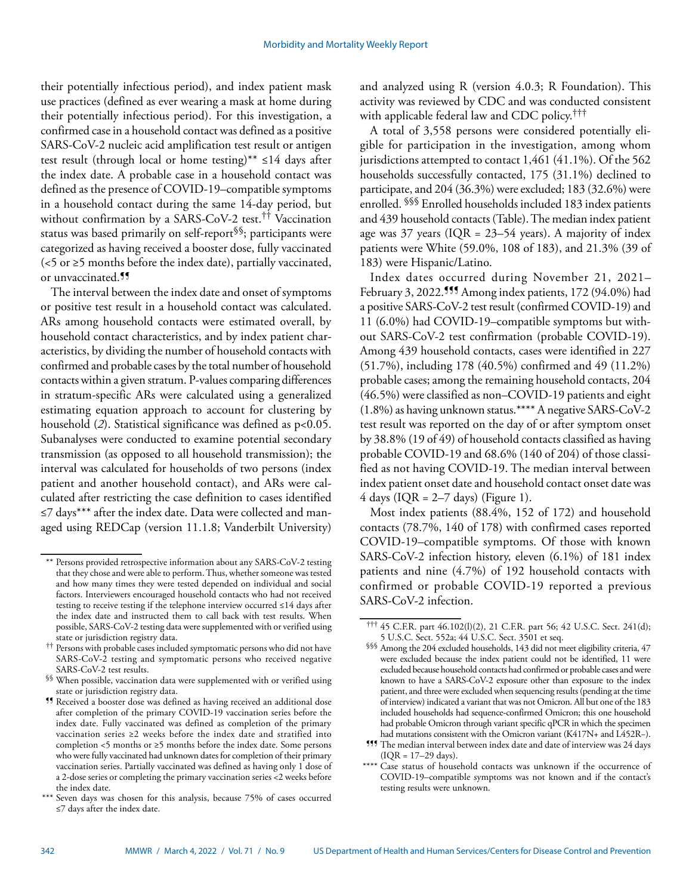their potentially infectious period), and index patient mask use practices (defined as ever wearing a mask at home during their potentially infectious period). For this investigation, a confirmed case in a household contact was defined as a positive SARS-CoV-2 nucleic acid amplification test result or antigen test result (through local or home testing)\*\*  $\leq 14$  days after the index date. A probable case in a household contact was defined as the presence of COVID-19–compatible symptoms in a household contact during the same 14-day period, but without confirmation by a SARS-CoV-2 test.<sup>††</sup> Vaccination status was based primarily on self-report§§; participants were categorized as having received a booster dose, fully vaccinated (<5 or ≥5 months before the index date), partially vaccinated, or unvaccinated.¶¶

The interval between the index date and onset of symptoms or positive test result in a household contact was calculated. ARs among household contacts were estimated overall, by household contact characteristics, and by index patient characteristics, by dividing the number of household contacts with confirmed and probable cases by the total number of household contacts within a given stratum. P-values comparing differences in stratum-specific ARs were calculated using a generalized estimating equation approach to account for clustering by household (2). Statistical significance was defined as  $p<0.05$ . Subanalyses were conducted to examine potential secondary transmission (as opposed to all household transmission); the interval was calculated for households of two persons (index patient and another household contact), and ARs were calculated after restricting the case definition to cases identified ≤7 days\*\*\* after the index date. Data were collected and managed using REDCap (version 11.1.8; Vanderbilt University)

and analyzed using R (version 4.0.3; R Foundation). This activity was reviewed by CDC and was conducted consistent with applicable federal law and CDC policy.<sup>†††</sup>

A total of 3,558 persons were considered potentially eligible for participation in the investigation, among whom jurisdictions attempted to contact 1,461 (41.1%). Of the 562 households successfully contacted, 175 (31.1%) declined to participate, and 204 (36.3%) were excluded; 183 (32.6%) were enrolled. §§§ Enrolled households included 183 index patients and 439 household contacts (Table). The median index patient age was 37 years ( $IQR = 23-54$  years). A majority of index patients were White (59.0%, 108 of 183), and 21.3% (39 of 183) were Hispanic/Latino.

Index dates occurred during November 21, 2021– February 3, 2022.<sup>555</sup> Among index patients, 172 (94.0%) had a positive SARS-CoV-2 test result (confirmed COVID-19) and 11 (6.0%) had COVID-19–compatible symptoms but without SARS-CoV-2 test confirmation (probable COVID-19). Among 439 household contacts, cases were identified in 227 (51.7%), including 178 (40.5%) confirmed and 49 (11.2%) probable cases; among the remaining household contacts, 204 (46.5%) were classified as non–COVID-19 patients and eight (1.8%) as having unknown status.\*\*\*\* A negative SARS-CoV-2 test result was reported on the day of or after symptom onset by 38.8% (19 of 49) of household contacts classified as having probable COVID-19 and 68.6% (140 of 204) of those classified as not having COVID-19. The median interval between index patient onset date and household contact onset date was 4 days ( $IQR = 2-7$  days) (Figure 1).

Most index patients (88.4%, 152 of 172) and household contacts (78.7%, 140 of 178) with confirmed cases reported COVID-19–compatible symptoms. Of those with known SARS-CoV-2 infection history, eleven (6.1%) of 181 index patients and nine (4.7%) of 192 household contacts with confirmed or probable COVID-19 reported a previous SARS-CoV-2 infection.

<sup>\*\*</sup> Persons provided retrospective information about any SARS-CoV-2 testing that they chose and were able to perform. Thus, whether someone was tested and how many times they were tested depended on individual and social factors. Interviewers encouraged household contacts who had not received testing to receive testing if the telephone interview occurred ≤14 days after the index date and instructed them to call back with test results. When possible, SARS-CoV-2 testing data were supplemented with or verified using state or jurisdiction registry data.

<sup>††</sup> Persons with probable cases included symptomatic persons who did not have SARS-CoV-2 testing and symptomatic persons who received negative SARS-CoV-2 test results.

<sup>§§</sup> When possible, vaccination data were supplemented with or verified using state or jurisdiction registry data.

<sup>¶¶</sup> Received a booster dose was defined as having received an additional dose after completion of the primary COVID-19 vaccination series before the index date. Fully vaccinated was defined as completion of the primary vaccination series ≥2 weeks before the index date and stratified into completion <5 months or ≥5 months before the index date. Some persons who were fully vaccinated had unknown dates for completion of their primary vaccination series. Partially vaccinated was defined as having only 1 dose of a 2-dose series or completing the primary vaccination series <2 weeks before the index date.

<sup>\*\*\*</sup> Seven days was chosen for this analysis, because 75% of cases occurred ≤7 days after the index date.

<sup>†††</sup> 45 C.F.R. part 46.102(l)(2), 21 C.F.R. part 56; 42 U.S.C. Sect. 241(d); 5 U.S.C. Sect. 552a; 44 U.S.C. Sect. 3501 et seq.

<sup>§§§</sup> Among the 204 excluded households, 143 did not meet eligibility criteria, 47 were excluded because the index patient could not be identified, 11 were excluded because household contacts had confirmed or probable cases and were known to have a SARS-CoV-2 exposure other than exposure to the index patient, and three were excluded when sequencing results (pending at the time of interview) indicated a variant that was not Omicron. All but one of the 183 included households had sequence-confirmed Omicron; this one household had probable Omicron through variant specific qPCR in which the specimen had mutations consistent with the Omicron variant (K417N+ and L452R−).

<sup>¶¶¶</sup> The median interval between index date and date of interview was 24 days  $( IQR = 17 - 29 \text{ days}).$ 

<sup>\*\*\*\*</sup> Case status of household contacts was unknown if the occurrence of COVID-19–compatible symptoms was not known and if the contact's testing results were unknown.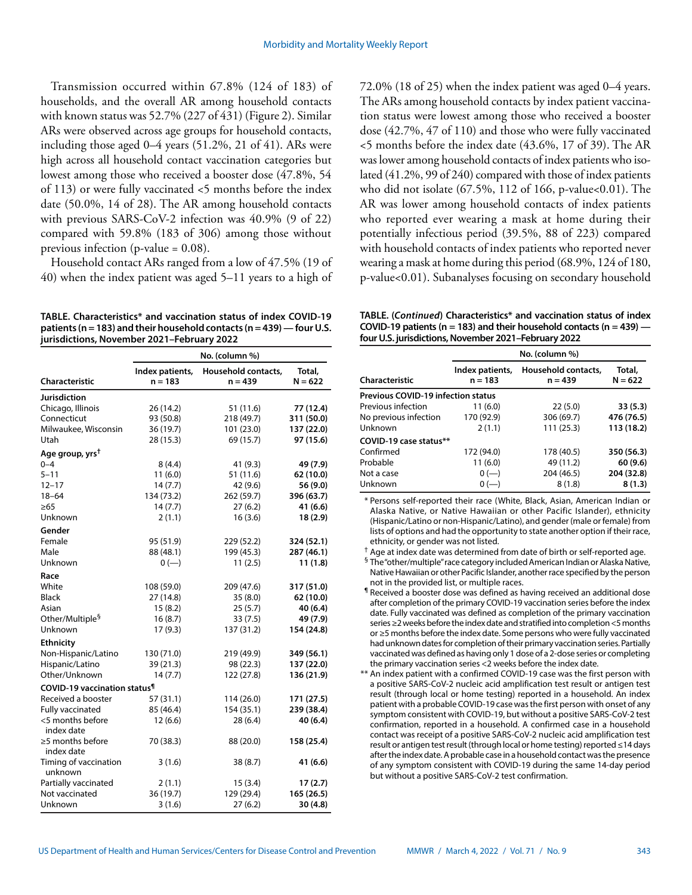Transmission occurred within 67.8% (124 of 183) of households, and the overall AR among household contacts with known status was 52.7% (227 of 431) (Figure 2). Similar ARs were observed across age groups for household contacts, including those aged 0–4 years (51.2%, 21 of 41). ARs were high across all household contact vaccination categories but lowest among those who received a booster dose (47.8%, 54 of 113) or were fully vaccinated <5 months before the index date (50.0%, 14 of 28). The AR among household contacts with previous SARS-CoV-2 infection was 40.9% (9 of 22) compared with 59.8% (183 of 306) among those without previous infection (p-value = 0.08).

Household contact ARs ranged from a low of 47.5% (19 of 40) when the index patient was aged 5–11 years to a high of

**TABLE. Characteristics\* and vaccination status of index COVID-19 patients (n = 183) and their household contacts (n = 439) — four U.S. jurisdictions, November 2021–February 2022**

|                                                 | No. (column %)               |                                  |                     |  |  |
|-------------------------------------------------|------------------------------|----------------------------------|---------------------|--|--|
| Characteristic                                  | Index patients,<br>$n = 183$ | Household contacts,<br>$n = 439$ | Total,<br>$N = 622$ |  |  |
| Jurisdiction                                    |                              |                                  |                     |  |  |
| Chicago, Illinois                               | 26 (14.2)                    | 51 (11.6)                        | 77 (12.4)           |  |  |
| Connecticut                                     | 93 (50.8)                    | 218 (49.7)                       | 311 (50.0)          |  |  |
| Milwaukee, Wisconsin                            | 36 (19.7)                    | 101 (23.0)                       | 137 (22.0)          |  |  |
| Utah                                            | 28 (15.3)                    | 69 (15.7)                        | 97 (15.6)           |  |  |
| Age group, yrs <sup>t</sup>                     |                              |                                  |                     |  |  |
| $0 - 4$                                         | 8(4.4)                       | 41 (9.3)                         | 49 (7.9)            |  |  |
| $5 - 11$                                        | 11(6.0)                      | 51 (11.6)                        | 62 (10.0)           |  |  |
| $12 - 17$                                       | 14(7.7)                      | 42 (9.6)                         | 56 (9.0)            |  |  |
| $18 - 64$                                       | 134 (73.2)                   | 262 (59.7)                       | 396 (63.7)          |  |  |
| $\geq 65$                                       | 14 (7.7)                     | 27(6.2)                          | 41 (6.6)            |  |  |
| Unknown                                         | 2(1.1)                       | 16(3.6)                          | 18(2.9)             |  |  |
| Gender                                          |                              |                                  |                     |  |  |
| Female                                          | 95 (51.9)                    | 229 (52.2)                       | 324 (52.1)          |  |  |
| Male                                            | 88 (48.1)                    | 199 (45.3)                       | 287 (46.1)          |  |  |
| Unknown                                         | $0 (-)$                      | 11(2.5)                          | 11(1.8)             |  |  |
| Race                                            |                              |                                  |                     |  |  |
| White                                           | 108 (59.0)                   | 209 (47.6)                       | 317 (51.0)          |  |  |
| <b>Black</b>                                    | 27 (14.8)                    | 35(8.0)                          | 62 (10.0)           |  |  |
| Asian                                           | 15(8.2)                      | 25(5.7)                          | 40 (6.4)            |  |  |
| Other/Multiple <sup>9</sup>                     | 16(8.7)                      | 33(7.5)                          | 49 (7.9)            |  |  |
| Unknown                                         | 17(9.3)                      | 137 (31.2)                       | 154 (24.8)          |  |  |
| <b>Ethnicity</b>                                |                              |                                  |                     |  |  |
| Non-Hispanic/Latino                             | 130 (71.0)                   | 219 (49.9)                       | 349 (56.1)          |  |  |
| Hispanic/Latino                                 | 39 (21.3)                    | 98 (22.3)                        | 137 (22.0)          |  |  |
| Other/Unknown                                   | 14(7.7)                      | 122 (27.8)                       | 136 (21.9)          |  |  |
| <b>COVID-19 vaccination status</b> <sup>1</sup> |                              |                                  |                     |  |  |
| Received a booster                              | 57 (31.1)                    | 114 (26.0)                       | 171 (27.5)          |  |  |
| Fully vaccinated                                | 85 (46.4)                    | 154 (35.1)                       | 239 (38.4)          |  |  |
| <5 months before<br>index date                  | 12(6.6)                      | 28(6.4)                          | 40 (6.4)            |  |  |
| $\geq$ 5 months before<br>index date            | 70 (38.3)                    | 88 (20.0)                        | 158 (25.4)          |  |  |
| Timing of vaccination<br>unknown                | 3(1.6)                       | 38(8.7)                          | 41 (6.6)            |  |  |
| Partially vaccinated                            | 2(1.1)                       | 15(3.4)                          | 17(2.7)             |  |  |
| Not vaccinated                                  | 36 (19.7)                    | 129 (29.4)                       | 165(26.5)           |  |  |
| Unknown                                         | 3(1.6)                       | 27(6.2)                          | 30(4.8)             |  |  |

72.0% (18 of 25) when the index patient was aged 0–4 years. The ARs among household contacts by index patient vaccination status were lowest among those who received a booster dose (42.7%, 47 of 110) and those who were fully vaccinated <5 months before the index date (43.6%, 17 of 39). The AR was lower among household contacts of index patients who isolated (41.2%, 99 of 240) compared with those of index patients who did not isolate  $(67.5\%, 112 \text{ of } 166, \text{ p-value} < 0.01)$ . The AR was lower among household contacts of index patients who reported ever wearing a mask at home during their potentially infectious period (39.5%, 88 of 223) compared with household contacts of index patients who reported never wearing a mask at home during this period (68.9%, 124 of 180, p-value<0.01). Subanalyses focusing on secondary household

**TABLE. (***Continued***) Characteristics\* and vaccination status of index COVID-19 patients (n = 183) and their household contacts (n = 439) four U.S. jurisdictions, November 2021–February 2022**

| Characteristic                            | Index patients,<br>$n = 183$ | Household contacts,<br>$n = 439$ | Total,<br>$N = 622$ |  |
|-------------------------------------------|------------------------------|----------------------------------|---------------------|--|
| <b>Previous COVID-19 infection status</b> |                              |                                  |                     |  |
| Previous infection                        | 11(6.0)                      | 22(5.0)                          | 33(5.3)             |  |
| No previous infection                     | 170 (92.9)                   | 306 (69.7)                       | 476 (76.5)          |  |
| Unknown                                   | 2(1.1)                       | 111 (25.3)                       | 113 (18.2)          |  |
| COVID-19 case status**                    |                              |                                  |                     |  |
| Confirmed                                 | 172 (94.0)                   | 178 (40.5)                       | 350 (56.3)          |  |
| Probable                                  | 11(6.0)                      | 49 (11.2)                        | 60(9.6)             |  |
| Not a case                                | $0 (-)$                      | 204 (46.5)                       | 204 (32.8)          |  |
| Unknown                                   | $0 (-)$                      | 8(1.8)                           | 8(1.3)              |  |

\* Persons self-reported their race (White, Black, Asian, American Indian or Alaska Native, or Native Hawaiian or other Pacific Islander), ethnicity (Hispanic/Latino or non-Hispanic/Latino), and gender (male or female) from lists of options and had the opportunity to state another option if their race, ethnicity, or gender was not listed.

† Age at index date was determined from date of birth or self-reported age.

§ The "other/multiple" race category included American Indian or Alaska Native, Native Hawaiian or other Pacific Islander, another race specified by the person not in the provided list, or multiple races.

¶ Received a booster dose was defined as having received an additional dose after completion of the primary COVID-19 vaccination series before the index date. Fully vaccinated was defined as completion of the primary vaccination series ≥2 weeks before the index date and stratified into completion <5 months or ≥5 months before the index date. Some persons who were fully vaccinated had unknown dates for completion of their primary vaccination series. Partially vaccinated was defined as having only 1 dose of a 2-dose series or completing the primary vaccination series <2 weeks before the index date.

\*\* An index patient with a confirmed COVID-19 case was the first person with a positive SARS-CoV-2 nucleic acid amplification test result or antigen test result (through local or home testing) reported in a household. An index patient with a probable COVID-19 case was the first person with onset of any symptom consistent with COVID-19, but without a positive SARS-CoV-2 test confirmation, reported in a household. A confirmed case in a household contact was receipt of a positive SARS-CoV-2 nucleic acid amplification test result or antigen test result (through local or home testing) reported ≤14 days after the index date. A probable case in a household contact was the presence of any symptom consistent with COVID-19 during the same 14-day period but without a positive SARS-CoV-2 test confirmation.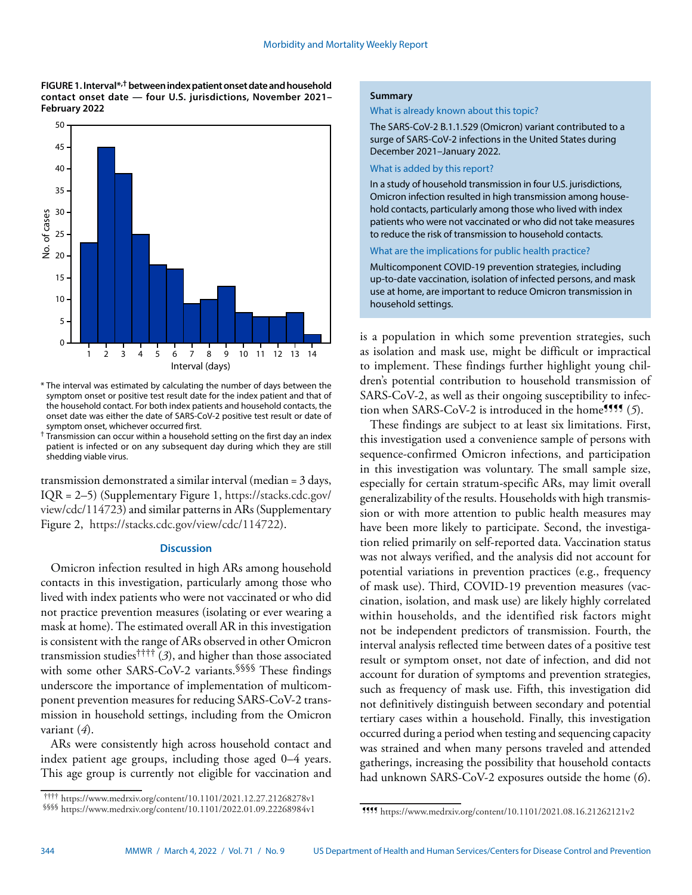**FIGURE 1. Interval\*,† between index patient onset date and household contact onset date — four U.S. jurisdictions, November 2021– February 2022** 



\* The interval was estimated by calculating the number of days between the symptom onset or positive test result date for the index patient and that of the household contact. For both index patients and household contacts, the onset date was either the date of SARS-CoV-2 positive test result or date of symptom onset, whichever occurred first.

 $\dagger$  Transmission can occur within a household setting on the first day an index patient is infected or on any subsequent day during which they are still shedding viable virus.

transmission demonstrated a similar interval (median = 3 days, IQR = 2–5) (Supplementary Figure 1, [https://stacks.cdc.gov/](https://stacks.cdc.gov/view/cdc/114723) [view/cdc/114723\)](https://stacks.cdc.gov/view/cdc/114723) and similar patterns in ARs (Supplementary Figure 2, [https://stacks.cdc.gov/view/cdc/114722\)](https://stacks.cdc.gov/view/cdc/114722).

# **Discussion**

Omicron infection resulted in high ARs among household contacts in this investigation, particularly among those who lived with index patients who were not vaccinated or who did not practice prevention measures (isolating or ever wearing a mask at home). The estimated overall AR in this investigation is consistent with the range of ARs observed in other Omicron transmission studies†††† (*3*), and higher than those associated with some other SARS-CoV-2 variants.<sup>§§§§</sup> These findings underscore the importance of implementation of multicomponent prevention measures for reducing SARS-CoV-2 transmission in household settings, including from the Omicron variant (*4*).

ARs were consistently high across household contact and index patient age groups, including those aged 0–4 years. This age group is currently not eligible for vaccination and

## **Summary**

What is already known about this topic?

The SARS-CoV-2 B.1.1.529 (Omicron) variant contributed to a surge of SARS-CoV-2 infections in the United States during December 2021–January 2022.

#### What is added by this report?

In a study of household transmission in four U.S. jurisdictions, Omicron infection resulted in high transmission among household contacts, particularly among those who lived with index patients who were not vaccinated or who did not take measures to reduce the risk of transmission to household contacts.

# What are the implications for public health practice?

Multicomponent COVID-19 prevention strategies, including up-to-date vaccination, isolation of infected persons, and mask use at home, are important to reduce Omicron transmission in household settings.

is a population in which some prevention strategies, such as isolation and mask use, might be difficult or impractical to implement. These findings further highlight young children's potential contribution to household transmission of SARS-CoV-2, as well as their ongoing susceptibility to infection when SARS-CoV-2 is introduced in the home<sup>1111</sup> (5).

These findings are subject to at least six limitations. First, this investigation used a convenience sample of persons with sequence-confirmed Omicron infections, and participation in this investigation was voluntary. The small sample size, especially for certain stratum-specific ARs, may limit overall generalizability of the results. Households with high transmission or with more attention to public health measures may have been more likely to participate. Second, the investigation relied primarily on self-reported data. Vaccination status was not always verified, and the analysis did not account for potential variations in prevention practices (e.g., frequency of mask use). Third, COVID-19 prevention measures (vaccination, isolation, and mask use) are likely highly correlated within households, and the identified risk factors might not be independent predictors of transmission. Fourth, the interval analysis reflected time between dates of a positive test result or symptom onset, not date of infection, and did not account for duration of symptoms and prevention strategies, such as frequency of mask use. Fifth, this investigation did not definitively distinguish between secondary and potential tertiary cases within a household. Finally, this investigation occurred during a period when testing and sequencing capacity was strained and when many persons traveled and attended gatherings, increasing the possibility that household contacts had unknown SARS-CoV-2 exposures outside the home (*6*).

<sup>††††</sup> <https://www.medrxiv.org/content/10.1101/2021.12.27.21268278v1> §§§§ <https://www.medrxiv.org/content/10.1101/2022.01.09.22268984v1>

<sup>¶¶¶¶</sup> <https://www.medrxiv.org/content/10.1101/2021.08.16.21262121v2>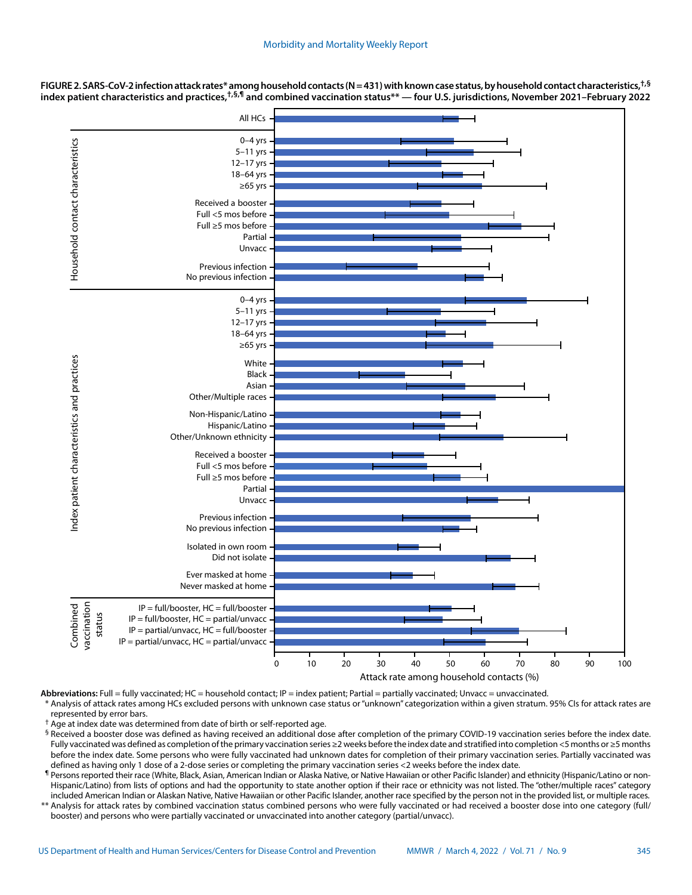

**FIGURE 2. SARS-CoV-2 infection attack rates\* among household contacts (N = 431) with known case status, by household contact characteristics,†,§ index patient characteristics and practices,†,§,¶ and combined vaccination status\*\* — four U.S. jurisdictions, November 2021–February 2022**

Abbreviations: Full = fully vaccinated; HC = household contact; IP = index patient; Partial = partially vaccinated; Unvacc = unvaccinated. Analysis of attack rates among HCs excluded persons with unknown case status or "unknown" categorization within a given stratum. 95% CIs for attack rates are

represented by error bars.

† Age at index date was determined from date of birth or self-reported age.

§ Received a booster dose was defined as having received an additional dose after completion of the primary COVID-19 vaccination series before the index date. Fully vaccinated was defined as completion of the primary vaccination series ≥2 weeks before the index date and stratified into completion <5 months or ≥5 months before the index date. Some persons who were fully vaccinated had unknown dates for completion of their primary vaccination series. Partially vaccinated was defined as having only 1 dose of a 2-dose series or completing the primary vaccination series <2 weeks before the index date.

¶ Persons reported their race (White, Black, Asian, American Indian or Alaska Native, or Native Hawaiian or other Pacific Islander) and ethnicity (Hispanic/Latino or non-Hispanic/Latino) from lists of options and had the opportunity to state another option if their race or ethnicity was not listed. The "other/multiple races" category included American Indian or Alaskan Native, Native Hawaiian or other Pacific Islander, another race specified by the person not in the provided list, or multiple races.

\*\* Analysis for attack rates by combined vaccination status combined persons who were fully vaccinated or had received a booster dose into one category (full/ booster) and persons who were partially vaccinated or unvaccinated into another category (partial/unvacc).